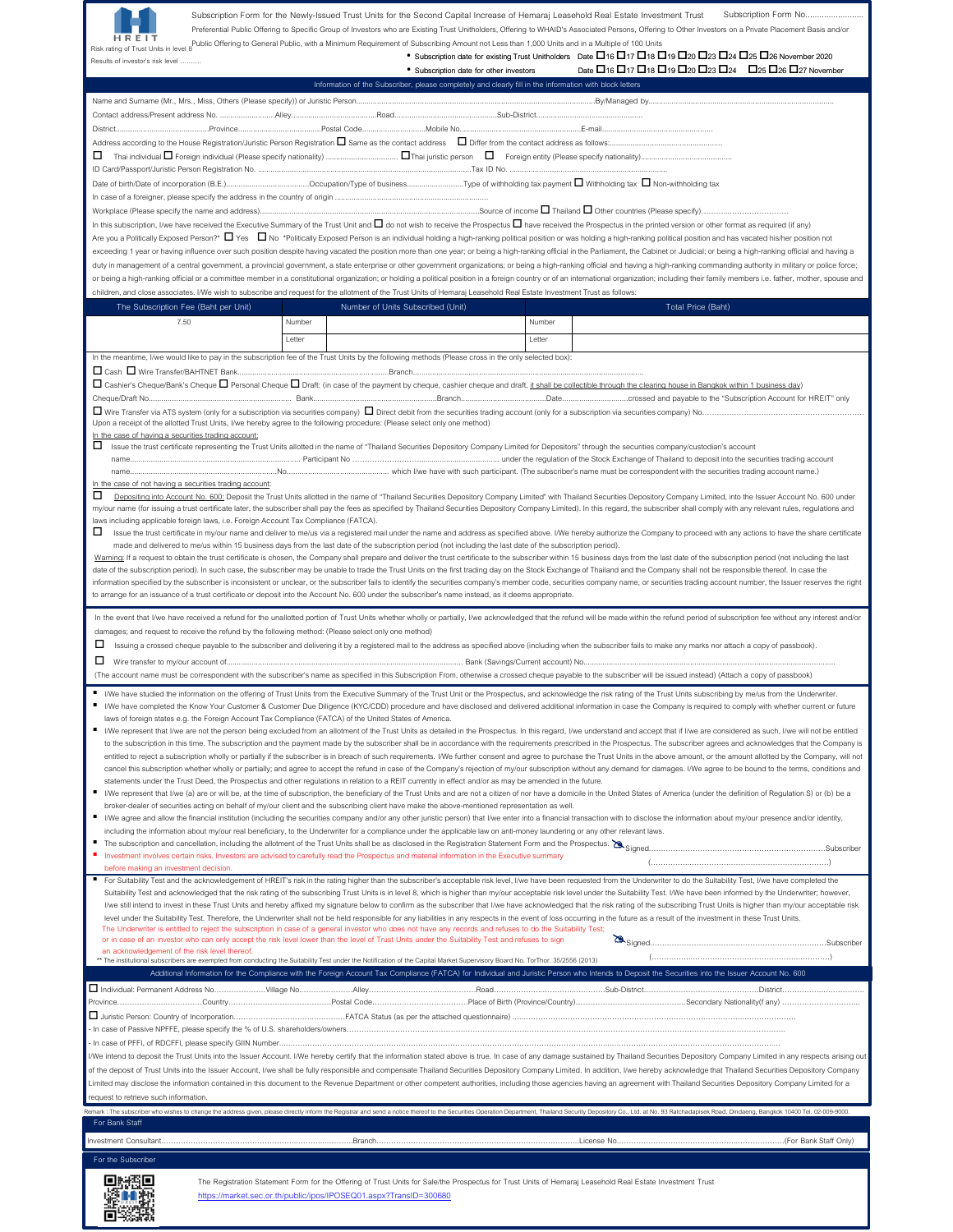

Subscription Form for the Newly-Issued Trust Units for the Second Capital Increase of Hemaraj Leasehold Real Estate Investment Trust Subscription Form No... Preferential Public Offering to Specific Group of Investors who are Existing Trust Unitholders, Offering to WHAID's Associated Persons, Offering to Other Investors on a Private Placement Basis and/or Public Offering to General Public, with a Minimum Requirement of Subscribing Amount not Less than 1,000 Units and in a Multiple of 100 Units

| Risk rating of Trust Units in level 8 |  |
|---------------------------------------|--|
| Results of investor's risk level      |  |

• Subscription date for other investors Date  $\Box$  16  $\Box$  17  $\Box$  18  $\Box$  19  $\Box$  20  $\Box$  23  $\Box$  24  $\Box$  25  $\Box$  27 November

• Subscription date for existing Trust Unitholders Date  $\Box$ 16  $\Box$ 17  $\Box$ 18  $\Box$ 19  $\Box$ 20  $\Box$ 23  $\Box$ 24  $\Box$ 25  $\Box$ 26 November 2020

|                                                                                                                                                                                                                                                                                                                                |        | Information of the Subscriber, please completely and clearly fill in the information with block letters                                                                                                                        |         |                                                                                                                                                                                                                                                                                                                                                                                                                                                                  |  |  |  |
|--------------------------------------------------------------------------------------------------------------------------------------------------------------------------------------------------------------------------------------------------------------------------------------------------------------------------------|--------|--------------------------------------------------------------------------------------------------------------------------------------------------------------------------------------------------------------------------------|---------|------------------------------------------------------------------------------------------------------------------------------------------------------------------------------------------------------------------------------------------------------------------------------------------------------------------------------------------------------------------------------------------------------------------------------------------------------------------|--|--|--|
|                                                                                                                                                                                                                                                                                                                                |        |                                                                                                                                                                                                                                |         |                                                                                                                                                                                                                                                                                                                                                                                                                                                                  |  |  |  |
|                                                                                                                                                                                                                                                                                                                                |        |                                                                                                                                                                                                                                |         |                                                                                                                                                                                                                                                                                                                                                                                                                                                                  |  |  |  |
|                                                                                                                                                                                                                                                                                                                                |        |                                                                                                                                                                                                                                |         |                                                                                                                                                                                                                                                                                                                                                                                                                                                                  |  |  |  |
|                                                                                                                                                                                                                                                                                                                                |        |                                                                                                                                                                                                                                |         |                                                                                                                                                                                                                                                                                                                                                                                                                                                                  |  |  |  |
| 0                                                                                                                                                                                                                                                                                                                              |        |                                                                                                                                                                                                                                |         |                                                                                                                                                                                                                                                                                                                                                                                                                                                                  |  |  |  |
|                                                                                                                                                                                                                                                                                                                                |        |                                                                                                                                                                                                                                |         |                                                                                                                                                                                                                                                                                                                                                                                                                                                                  |  |  |  |
|                                                                                                                                                                                                                                                                                                                                |        |                                                                                                                                                                                                                                |         |                                                                                                                                                                                                                                                                                                                                                                                                                                                                  |  |  |  |
|                                                                                                                                                                                                                                                                                                                                |        |                                                                                                                                                                                                                                |         |                                                                                                                                                                                                                                                                                                                                                                                                                                                                  |  |  |  |
|                                                                                                                                                                                                                                                                                                                                |        |                                                                                                                                                                                                                                |         | In this subscription, I/we have received the Executive Summary of the Trust Unit and $\Box$ do not wish to receive the Prospectus $\Box$ have received the Prospectus in the printed version or other format as required (if any)                                                                                                                                                                                                                                |  |  |  |
|                                                                                                                                                                                                                                                                                                                                |        |                                                                                                                                                                                                                                |         | Are you a Politically Exposed Person?* □ Yes □ No *Politically Exposed Person is an individual holding a high-ranking political position or was holding a high-ranking political position and has vacated his/her position no                                                                                                                                                                                                                                    |  |  |  |
|                                                                                                                                                                                                                                                                                                                                |        |                                                                                                                                                                                                                                |         | exceeding 1 year or having influence over such position despite having vacated the position more than one year; or being a high-ranking official in the Parliament, the Cabinet or Judicial; or being a high-ranking official                                                                                                                                                                                                                                    |  |  |  |
|                                                                                                                                                                                                                                                                                                                                |        |                                                                                                                                                                                                                                |         | duty in management of a central government, a provincial government, a state enterprise or other government organizations; or being a high-ranking official and having a high-ranking commanding authority in military or poli                                                                                                                                                                                                                                   |  |  |  |
|                                                                                                                                                                                                                                                                                                                                |        |                                                                                                                                                                                                                                |         | or being a high-ranking official or a committee member in a constitutional organization; or holding a political position in a foreign country or of an international organization; including their family members i.e. father,                                                                                                                                                                                                                                   |  |  |  |
| children, and close associates. I/We wish to subscribe and request for the allotment of the Trust Units of Hemaraj Leasehold Real Estate Investment Trust as follows:                                                                                                                                                          |        |                                                                                                                                                                                                                                |         |                                                                                                                                                                                                                                                                                                                                                                                                                                                                  |  |  |  |
| The Subscription Fee (Baht per Unit)                                                                                                                                                                                                                                                                                           |        | Number of Units Subscribed (Unit)                                                                                                                                                                                              |         | Total Price (Baht)                                                                                                                                                                                                                                                                                                                                                                                                                                               |  |  |  |
| 7.50                                                                                                                                                                                                                                                                                                                           | Number |                                                                                                                                                                                                                                | Number  |                                                                                                                                                                                                                                                                                                                                                                                                                                                                  |  |  |  |
|                                                                                                                                                                                                                                                                                                                                | Letter |                                                                                                                                                                                                                                | I etter |                                                                                                                                                                                                                                                                                                                                                                                                                                                                  |  |  |  |
| In the meantime, I/we would like to pay in the subscription fee of the Trust Units by the following methods (Please cross in the only selected box):                                                                                                                                                                           |        |                                                                                                                                                                                                                                |         |                                                                                                                                                                                                                                                                                                                                                                                                                                                                  |  |  |  |
|                                                                                                                                                                                                                                                                                                                                |        |                                                                                                                                                                                                                                |         |                                                                                                                                                                                                                                                                                                                                                                                                                                                                  |  |  |  |
|                                                                                                                                                                                                                                                                                                                                |        |                                                                                                                                                                                                                                |         | □ Cashier's Cheque/Bank's Cheque □ Personal Cheque □ Draft: (in case of the payment by cheque, cashier cheque and draft, it shall be collectible through the clearing house in Bangkok within 1 business day)                                                                                                                                                                                                                                                    |  |  |  |
|                                                                                                                                                                                                                                                                                                                                |        |                                                                                                                                                                                                                                |         |                                                                                                                                                                                                                                                                                                                                                                                                                                                                  |  |  |  |
|                                                                                                                                                                                                                                                                                                                                |        |                                                                                                                                                                                                                                |         |                                                                                                                                                                                                                                                                                                                                                                                                                                                                  |  |  |  |
| Upon a receipt of the allotted Trust Units, I/we hereby agree to the following procedure: (Please select only one method)                                                                                                                                                                                                      |        |                                                                                                                                                                                                                                |         |                                                                                                                                                                                                                                                                                                                                                                                                                                                                  |  |  |  |
| In the case of having a securities trading account:                                                                                                                                                                                                                                                                            |        |                                                                                                                                                                                                                                |         | Issue the trust certificate representing the Trust Units allotted in the name of "Thailand Securities Depository Company Limited for Depositors" through the securities company/custodian's account                                                                                                                                                                                                                                                              |  |  |  |
|                                                                                                                                                                                                                                                                                                                                |        |                                                                                                                                                                                                                                |         |                                                                                                                                                                                                                                                                                                                                                                                                                                                                  |  |  |  |
|                                                                                                                                                                                                                                                                                                                                |        |                                                                                                                                                                                                                                |         |                                                                                                                                                                                                                                                                                                                                                                                                                                                                  |  |  |  |
| In the case of not having a securities trading account:                                                                                                                                                                                                                                                                        |        |                                                                                                                                                                                                                                |         |                                                                                                                                                                                                                                                                                                                                                                                                                                                                  |  |  |  |
| □                                                                                                                                                                                                                                                                                                                              |        |                                                                                                                                                                                                                                |         | Depositing into Account No. 600; Deposit the Trust Units allotted in the name of "Thailand Securities Depository Company Limited" with Thailand Securities Depository Company Limited, into the Issuer Account No. 600 under                                                                                                                                                                                                                                     |  |  |  |
|                                                                                                                                                                                                                                                                                                                                |        |                                                                                                                                                                                                                                |         | my/our name (for issuing a trust certificate later, the subscriber shall pay the fees as specified by Thailand Securities Depository Company Limited). In this regard, the subscriber shall comply with any relevant rules, re                                                                                                                                                                                                                                   |  |  |  |
| laws including applicable foreign laws, i.e. Foreign Account Tax Compliance (FATCA).<br>0                                                                                                                                                                                                                                      |        |                                                                                                                                                                                                                                |         | Issue the trust certificate in my/our name and deliver to me/us via a registered mail under the name and address as specified above. I/We hereby authorize the Company to proceed with any actions to have the share certifica                                                                                                                                                                                                                                   |  |  |  |
| made and delivered to me/us within 15 business days from the last date of the subscription period (not including the last date of the subscription period).                                                                                                                                                                    |        |                                                                                                                                                                                                                                |         |                                                                                                                                                                                                                                                                                                                                                                                                                                                                  |  |  |  |
|                                                                                                                                                                                                                                                                                                                                |        |                                                                                                                                                                                                                                |         | Warning: If a request to obtain the trust certificate is chosen, the Company shall prepare and deliver the trust certificate to the subscriber within 15 business days from the last date of the subscription period (not incl                                                                                                                                                                                                                                   |  |  |  |
|                                                                                                                                                                                                                                                                                                                                |        |                                                                                                                                                                                                                                |         | date of the subscription period). In such case, the subscriber may be unable to trade the Trust Units on the first trading day on the Stock Exchange of Thailand and the Company shall not be responsible thereof. In case the                                                                                                                                                                                                                                   |  |  |  |
|                                                                                                                                                                                                                                                                                                                                |        |                                                                                                                                                                                                                                |         | information specified by the subscriber is inconsistent or unclear, or the subscriber fails to identify the securities company's member code, securities company name, or securities trading account number, the Issuer reserv                                                                                                                                                                                                                                   |  |  |  |
| to arrange for an issuance of a trust certificate or deposit into the Account No. 600 under the subscriber's name instead, as it deems appropriate.                                                                                                                                                                            |        |                                                                                                                                                                                                                                |         |                                                                                                                                                                                                                                                                                                                                                                                                                                                                  |  |  |  |
|                                                                                                                                                                                                                                                                                                                                |        |                                                                                                                                                                                                                                |         | In the event that I/we have received a refund for the unallotted portion of Trust Units whether wholly or partially, I/we acknowledged that the refund will be made within the refund period of subscription fee without any i                                                                                                                                                                                                                                   |  |  |  |
|                                                                                                                                                                                                                                                                                                                                |        |                                                                                                                                                                                                                                |         |                                                                                                                                                                                                                                                                                                                                                                                                                                                                  |  |  |  |
| damages; and request to receive the refund by the following method: (Please select only one method)<br>□<br>Issuing a crossed cheque payable to the subscriber and delivering it by a registered mail to the address as specified above (including when the subscriber fails to make any marks nor attach a copy of passbook). |        |                                                                                                                                                                                                                                |         |                                                                                                                                                                                                                                                                                                                                                                                                                                                                  |  |  |  |
|                                                                                                                                                                                                                                                                                                                                |        |                                                                                                                                                                                                                                |         |                                                                                                                                                                                                                                                                                                                                                                                                                                                                  |  |  |  |
|                                                                                                                                                                                                                                                                                                                                |        |                                                                                                                                                                                                                                |         |                                                                                                                                                                                                                                                                                                                                                                                                                                                                  |  |  |  |
|                                                                                                                                                                                                                                                                                                                                |        |                                                                                                                                                                                                                                |         | (The account name must be correspondent with the subscriber's name as specified in this Subscription From, otherwise a crossed cheque payable to the subscriber will be issued instead) (Attach a copy of passbook)                                                                                                                                                                                                                                              |  |  |  |
|                                                                                                                                                                                                                                                                                                                                |        |                                                                                                                                                                                                                                |         |                                                                                                                                                                                                                                                                                                                                                                                                                                                                  |  |  |  |
| ٠                                                                                                                                                                                                                                                                                                                              |        |                                                                                                                                                                                                                                |         | I/We have studied the information on the offering of Trust Units from the Executive Summary of the Trust Unit or the Prospectus, and acknowledge the risk rating of the Trust Units subscribing by me/us from the Underwriter.                                                                                                                                                                                                                                   |  |  |  |
| laws of foreign states e.g. the Foreign Account Tax Compliance (FATCA) of the United States of America.                                                                                                                                                                                                                        |        |                                                                                                                                                                                                                                |         | I/We have completed the Know Your Customer & Customer Due Diligence (KYC/CDD) procedure and have disclosed and delivered additional information in case the Company is required to comply with whether current or future                                                                                                                                                                                                                                         |  |  |  |
|                                                                                                                                                                                                                                                                                                                                |        |                                                                                                                                                                                                                                |         | I/We represent that I/we are not the person being excluded from an allotment of the Trust Units as detailed in the Prospectus. In this regard, I/we understand and accept that if I/we are considered as such, I/we will not b                                                                                                                                                                                                                                   |  |  |  |
|                                                                                                                                                                                                                                                                                                                                |        |                                                                                                                                                                                                                                |         | to the subscription in this time. The subscription and the payment made by the subscriber shall be in accordance with the requirements prescribed in the Prospectus. The subscriber agrees and acknowledges that the Company i                                                                                                                                                                                                                                   |  |  |  |
|                                                                                                                                                                                                                                                                                                                                |        |                                                                                                                                                                                                                                |         | entitled to reject a subscription wholly or partially if the subscriber is in breach of such requirements. I/We further consent and agree to purchase the Trust Units in the above amount, or the amount allotted by the Compa                                                                                                                                                                                                                                   |  |  |  |
|                                                                                                                                                                                                                                                                                                                                |        |                                                                                                                                                                                                                                |         | cancel this subscription whether wholly or partially; and agree to accept the refund in case of the Company's rejection of my/our subscription without any demand for damages. I/We agree to be bound to the terms, conditions                                                                                                                                                                                                                                   |  |  |  |
| statements under the Trust Deed, the Prospectus and other regulations in relation to a REIT currently in effect and/or as may be amended in the future.                                                                                                                                                                        |        |                                                                                                                                                                                                                                |         | I/We represent that I/we (a) are or will be, at the time of subscription, the beneficiary of the Trust Units and are not a citizen of nor have a domicile in the United States of America (under the definition of Regulation                                                                                                                                                                                                                                    |  |  |  |
| broker-dealer of securities acting on behalf of my/our client and the subscribing client have make the above-mentioned representation as well.                                                                                                                                                                                 |        |                                                                                                                                                                                                                                |         |                                                                                                                                                                                                                                                                                                                                                                                                                                                                  |  |  |  |
|                                                                                                                                                                                                                                                                                                                                |        |                                                                                                                                                                                                                                |         | I/We agree and allow the financial institution (including the securities company and/or any other juristic person) that I/we enter into a financial transaction with to disclose the information about my/our presence and/or                                                                                                                                                                                                                                    |  |  |  |
| including the information about my/our real beneficiary, to the Underwriter for a compliance under the applicable law on anti-money laundering or any other relevant laws.                                                                                                                                                     |        |                                                                                                                                                                                                                                |         |                                                                                                                                                                                                                                                                                                                                                                                                                                                                  |  |  |  |
| The subscription and cancellation, including the allotment of the Trust Units shall be as disclosed in the Registration Statement Form and the Prospectus. So Signed.                                                                                                                                                          |        |                                                                                                                                                                                                                                |         |                                                                                                                                                                                                                                                                                                                                                                                                                                                                  |  |  |  |
| Investment involves certain risks. Investors are advised to carefully read the Prospectus and material information in the Executive summary                                                                                                                                                                                    |        |                                                                                                                                                                                                                                |         |                                                                                                                                                                                                                                                                                                                                                                                                                                                                  |  |  |  |
| before making an investment decision.                                                                                                                                                                                                                                                                                          |        |                                                                                                                                                                                                                                |         | For Suitability Test and the acknowledgement of HREIT's risk in the rating higher than the subscriber's acceptable risk level, I/we have been requested from the Underwriter to do the Suitability Test, I/we have completed t                                                                                                                                                                                                                                   |  |  |  |
|                                                                                                                                                                                                                                                                                                                                |        |                                                                                                                                                                                                                                |         | Suitability Test and acknowledged that the risk rating of the subscribing Trust Units is in level 8, which is higher than my/our acceptable risk level under the Suitability Test. I/We have been informed by the Underwriter;                                                                                                                                                                                                                                   |  |  |  |
|                                                                                                                                                                                                                                                                                                                                |        |                                                                                                                                                                                                                                |         | I/we still intend to invest in these Trust Units and hereby affixed my signature below to confirm as the subscriber that I/we have acknowledged that the risk rating of the subscribing Trust Units is higher than my/our acce                                                                                                                                                                                                                                   |  |  |  |
|                                                                                                                                                                                                                                                                                                                                |        |                                                                                                                                                                                                                                |         | level under the Suitability Test. Therefore, the Underwriter shall not be held responsible for any liabilities in any respects in the event of loss occurring in the future as a result of the investment in these Trust Units                                                                                                                                                                                                                                   |  |  |  |
| The Underwriter is entitled to reject the subscription in case of a general investor who does not have any records and refuses to do the Suitability Test;                                                                                                                                                                     |        |                                                                                                                                                                                                                                |         |                                                                                                                                                                                                                                                                                                                                                                                                                                                                  |  |  |  |
| or in case of an investor who can only accept the risk level lower than the level of Trust Units under the Suitability Test and refuses to sign<br>an acknowledgement of the risk level thereof.                                                                                                                               |        |                                                                                                                                                                                                                                |         |                                                                                                                                                                                                                                                                                                                                                                                                                                                                  |  |  |  |
| ** The institutional subscribers are exempted from conducting the Suitability Test under the Notification of the Capital Market Supervisory Board No. TorThor. 35/2556 (2013)                                                                                                                                                  |        |                                                                                                                                                                                                                                |         |                                                                                                                                                                                                                                                                                                                                                                                                                                                                  |  |  |  |
|                                                                                                                                                                                                                                                                                                                                |        |                                                                                                                                                                                                                                |         | Additional Information for the Compliance with the Foreign Account Tax Compliance (FATCA) for Individual and Juristic Person who Intends to Deposit the Securities into the Issuer Account No. 600                                                                                                                                                                                                                                                               |  |  |  |
|                                                                                                                                                                                                                                                                                                                                |        |                                                                                                                                                                                                                                |         |                                                                                                                                                                                                                                                                                                                                                                                                                                                                  |  |  |  |
|                                                                                                                                                                                                                                                                                                                                |        |                                                                                                                                                                                                                                |         |                                                                                                                                                                                                                                                                                                                                                                                                                                                                  |  |  |  |
|                                                                                                                                                                                                                                                                                                                                |        |                                                                                                                                                                                                                                |         |                                                                                                                                                                                                                                                                                                                                                                                                                                                                  |  |  |  |
|                                                                                                                                                                                                                                                                                                                                |        |                                                                                                                                                                                                                                |         |                                                                                                                                                                                                                                                                                                                                                                                                                                                                  |  |  |  |
|                                                                                                                                                                                                                                                                                                                                |        |                                                                                                                                                                                                                                |         |                                                                                                                                                                                                                                                                                                                                                                                                                                                                  |  |  |  |
|                                                                                                                                                                                                                                                                                                                                |        |                                                                                                                                                                                                                                |         | I/We intend to deposit the Trust Units into the Issuer Account. I/We hereby certify that the information stated above is true. In case of any damage sustained by Thailand Securities Depository Company Limited in any respec                                                                                                                                                                                                                                   |  |  |  |
|                                                                                                                                                                                                                                                                                                                                |        |                                                                                                                                                                                                                                |         | of the deposit of Trust Units into the Issuer Account, I/we shall be fully responsible and compensate Thailand Securities Depository Company Limited. In addition, I/we hereby acknowledge that Thailand Securities Depository<br>Limited may disclose the information contained in this document to the Revenue Department or other competent authorities, including those agencies having an agreement with Thailand Securities Depository Company Limited for |  |  |  |
| request to retrieve such information.                                                                                                                                                                                                                                                                                          |        |                                                                                                                                                                                                                                |         |                                                                                                                                                                                                                                                                                                                                                                                                                                                                  |  |  |  |
|                                                                                                                                                                                                                                                                                                                                |        |                                                                                                                                                                                                                                |         | Remark : The subscriber who wishes to change the address given, please directly inform the Registrar and send a notice thereof to the Securities Operation Department, Thailand Security Depository Co., Ltd. at No. 93 Ratcha                                                                                                                                                                                                                                   |  |  |  |
| For Bank Staff                                                                                                                                                                                                                                                                                                                 |        |                                                                                                                                                                                                                                |         |                                                                                                                                                                                                                                                                                                                                                                                                                                                                  |  |  |  |
|                                                                                                                                                                                                                                                                                                                                |        |                                                                                                                                                                                                                                |         |                                                                                                                                                                                                                                                                                                                                                                                                                                                                  |  |  |  |
|                                                                                                                                                                                                                                                                                                                                |        |                                                                                                                                                                                                                                |         |                                                                                                                                                                                                                                                                                                                                                                                                                                                                  |  |  |  |
| For the Subscriber                                                                                                                                                                                                                                                                                                             |        |                                                                                                                                                                                                                                |         |                                                                                                                                                                                                                                                                                                                                                                                                                                                                  |  |  |  |
| 口粉類口                                                                                                                                                                                                                                                                                                                           |        | The Registration Statement Form for the Offering of Trust Units for Sale/the Prospectus for Trust Units of Hemaraj Leasehold Real Estate Investment Trust<br>https://market.sec.or.th/public/ipos/IPOSEQ01.aspx?TransID=300680 |         |                                                                                                                                                                                                                                                                                                                                                                                                                                                                  |  |  |  |